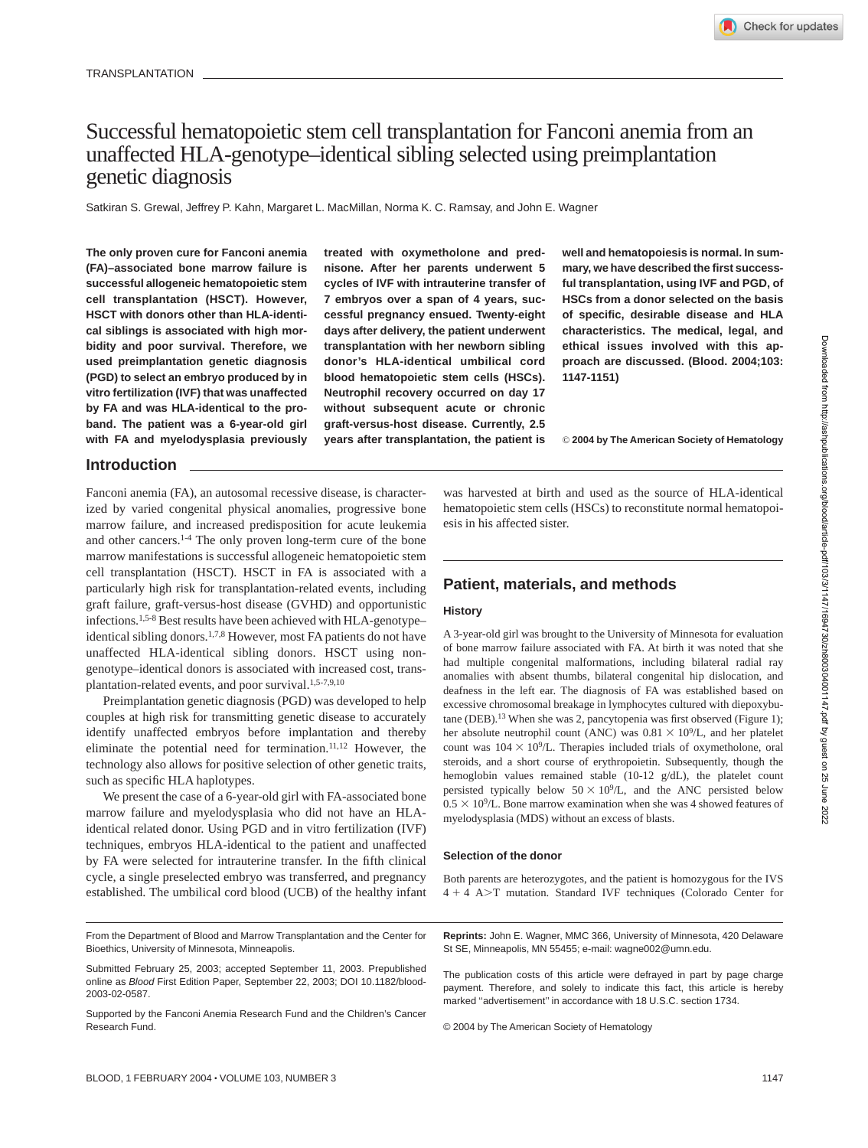# Successful hematopoietic stem cell transplantation for Fanconi anemia from an unaffected HLA-genotype–identical sibling selected using preimplantation genetic diagnosis

Satkiran S. Grewal, Jeffrey P. Kahn, Margaret L. MacMillan, Norma K. C. Ramsay, and John E. Wagner

**The only proven cure for Fanconi anemia (FA)–associated bone marrow failure is successful allogeneic hematopoietic stem cell transplantation (HSCT). However, HSCT with donors other than HLA-identical siblings is associated with high morbidity and poor survival. Therefore, we used preimplantation genetic diagnosis (PGD) to select an embryo produced by in vitro fertilization (IVF) that was unaffected by FA and was HLA-identical to the proband. The patient was a 6-year-old girl with FA and myelodysplasia previously**

**treated with oxymetholone and prednisone. After her parents underwent 5 cycles of IVF with intrauterine transfer of 7 embryos over a span of 4 years, successful pregnancy ensued. Twenty-eight days after delivery, the patient underwent transplantation with her newborn sibling donor's HLA-identical umbilical cord blood hematopoietic stem cells (HSCs). Neutrophil recovery occurred on day 17 without subsequent acute or chronic graft-versus-host disease. Currently, 2.5 years after transplantation, the patient is** **well and hematopoiesis is normal. In summary, we have described the first successful transplantation, using IVF and PGD, of HSCs from a donor selected on the basis of specific, desirable disease and HLA characteristics. The medical, legal, and ethical issues involved with this approach are discussed. (Blood. 2004;103: 1147-1151)**

© **2004 by The American Society of Hematology**

# **Introduction**

Fanconi anemia (FA), an autosomal recessive disease, is characterized by varied congenital physical anomalies, progressive bone marrow failure, and increased predisposition for acute leukemia and other cancers.1-4 The only proven long-term cure of the bone marrow manifestations is successful allogeneic hematopoietic stem cell transplantation (HSCT). HSCT in FA is associated with a particularly high risk for transplantation-related events, including graft failure, graft-versus-host disease (GVHD) and opportunistic infections.1,5-8 Best results have been achieved with HLA-genotype– identical sibling donors.<sup>1,7,8</sup> However, most FA patients do not have unaffected HLA-identical sibling donors. HSCT using nongenotype–identical donors is associated with increased cost, transplantation-related events, and poor survival.<sup>1,5-7,9,10</sup>

Preimplantation genetic diagnosis (PGD) was developed to help couples at high risk for transmitting genetic disease to accurately identify unaffected embryos before implantation and thereby eliminate the potential need for termination. $11,12$  However, the technology also allows for positive selection of other genetic traits, such as specific HLA haplotypes.

We present the case of a 6-year-old girl with FA-associated bone marrow failure and myelodysplasia who did not have an HLAidentical related donor. Using PGD and in vitro fertilization (IVF) techniques, embryos HLA-identical to the patient and unaffected by FA were selected for intrauterine transfer. In the fifth clinical cycle, a single preselected embryo was transferred, and pregnancy established. The umbilical cord blood (UCB) of the healthy infant

From the Department of Blood and Marrow Transplantation and the Center for Bioethics, University of Minnesota, Minneapolis.

was harvested at birth and used as the source of HLA-identical hematopoietic stem cells (HSCs) to reconstitute normal hematopoiesis in his affected sister.

# **Patient, materials, and methods**

### **History**

A 3-year-old girl was brought to the University of Minnesota for evaluation of bone marrow failure associated with FA. At birth it was noted that she had multiple congenital malformations, including bilateral radial ray anomalies with absent thumbs, bilateral congenital hip dislocation, and deafness in the left ear. The diagnosis of FA was established based on excessive chromosomal breakage in lymphocytes cultured with diepoxybutane (DEB).<sup>13</sup> When she was 2, pancytopenia was first observed (Figure 1); her absolute neutrophil count (ANC) was  $0.81 \times 10^9$ /L, and her platelet count was  $104 \times 10^9$ /L. Therapies included trials of oxymetholone, oral steroids, and a short course of erythropoietin. Subsequently, though the hemoglobin values remained stable (10-12 g/dL), the platelet count persisted typically below  $50 \times 10^9$ /L, and the ANC persisted below  $0.5 \times 10^9$ /L. Bone marrow examination when she was 4 showed features of myelodysplasia (MDS) without an excess of blasts.

### **Selection of the donor**

Both parents are heterozygotes, and the patient is homozygous for the IVS 4 + 4 A>T mutation. Standard IVF techniques (Colorado Center for

**Reprints:** John E. Wagner, MMC 366, University of Minnesota, 420 Delaware St SE, Minneapolis, MN 55455; e-mail: wagne002@umn.edu.

The publication costs of this article were defrayed in part by page charge payment. Therefore, and solely to indicate this fact, this article is hereby marked "advertisement" in accordance with 18 U.S.C. section 1734.

© 2004 by The American Society of Hematology

Submitted February 25, 2003; accepted September 11, 2003. Prepublished online as Blood First Edition Paper, September 22, 2003; DOI 10.1182/blood-2003-02-0587.

Supported by the Fanconi Anemia Research Fund and the Children's Cancer Research Fund.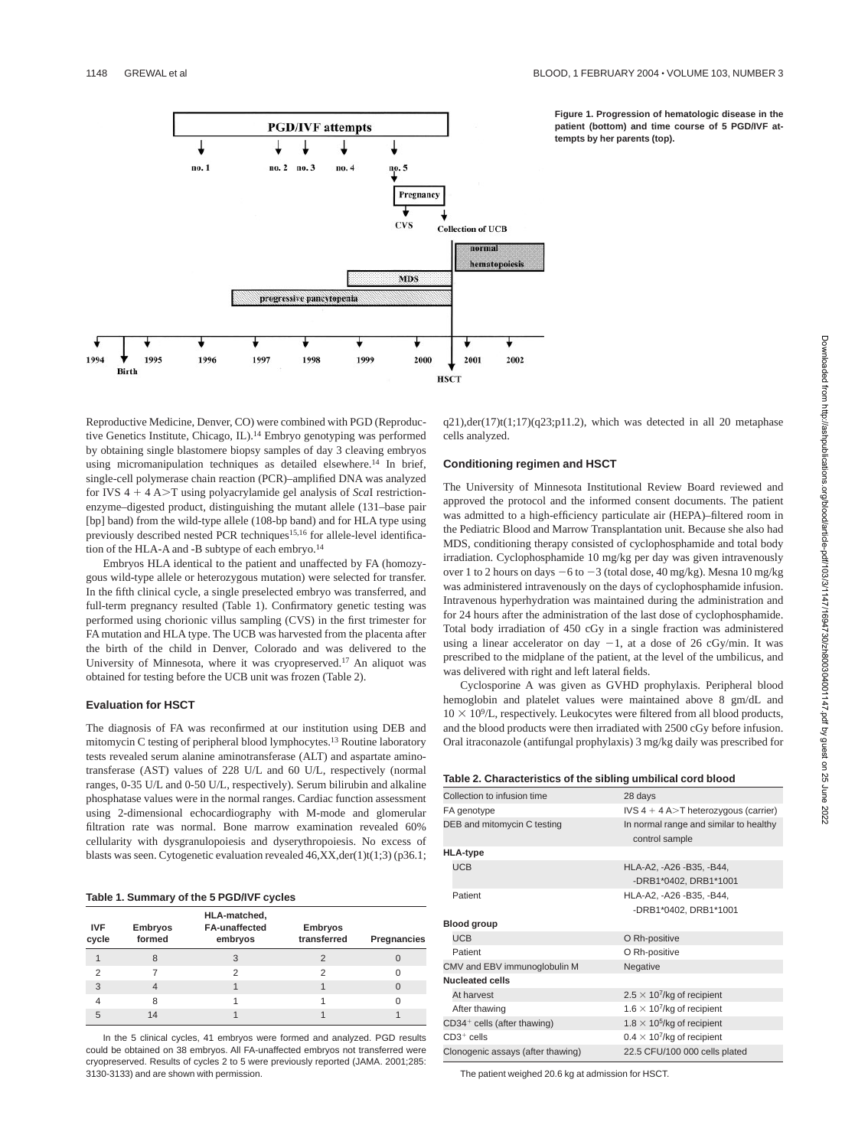

**Figure 1. Progression of hematologic disease in the patient (bottom) and time course of 5 PGD/IVF attempts by her parents (top).**

Reproductive Medicine, Denver, CO) were combined with PGD (Reproductive Genetics Institute, Chicago, IL).14 Embryo genotyping was performed by obtaining single blastomere biopsy samples of day 3 cleaving embryos using micromanipulation techniques as detailed elsewhere.<sup>14</sup> In brief, single-cell polymerase chain reaction (PCR)–amplified DNA was analyzed for IVS 4 + 4 A>T using polyacrylamide gel analysis of *ScaI* restrictionenzyme–digested product, distinguishing the mutant allele (131–base pair [bp] band) from the wild-type allele (108-bp band) and for HLA type using previously described nested PCR techniques<sup>15,16</sup> for allele-level identification of the HLA-A and -B subtype of each embryo.<sup>14</sup>

Embryos HLA identical to the patient and unaffected by FA (homozygous wild-type allele or heterozygous mutation) were selected for transfer. In the fifth clinical cycle, a single preselected embryo was transferred, and full-term pregnancy resulted (Table 1). Confirmatory genetic testing was performed using chorionic villus sampling (CVS) in the first trimester for FA mutation and HLA type. The UCB was harvested from the placenta after the birth of the child in Denver, Colorado and was delivered to the University of Minnesota, where it was cryopreserved.17 An aliquot was obtained for testing before the UCB unit was frozen (Table 2).

### **Evaluation for HSCT**

The diagnosis of FA was reconfirmed at our institution using DEB and mitomycin C testing of peripheral blood lymphocytes.13 Routine laboratory tests revealed serum alanine aminotransferase (ALT) and aspartate aminotransferase (AST) values of 228 U/L and 60 U/L, respectively (normal ranges, 0-35 U/L and 0-50 U/L, respectively). Serum bilirubin and alkaline phosphatase values were in the normal ranges. Cardiac function assessment using 2-dimensional echocardiography with M-mode and glomerular filtration rate was normal. Bone marrow examination revealed 60% cellularity with dysgranulopoiesis and dyserythropoiesis. No excess of blasts was seen. Cytogenetic evaluation revealed  $46, XX, der(1)t(1;3)$  (p36.1;

#### **Table 1. Summary of the 5 PGD/IVF cycles**

| <b>IVF</b><br>cycle | <b>Embryos</b><br>formed | HLA-matched,<br><b>FA-unaffected</b><br>embryos | <b>Embryos</b><br>transferred | Pregnancies |
|---------------------|--------------------------|-------------------------------------------------|-------------------------------|-------------|
|                     | 8                        | 3                                               |                               |             |
| 2                   |                          |                                                 | 2                             |             |
| 3                   |                          |                                                 |                               | 0           |
|                     | 8                        |                                                 |                               |             |
| 5                   | 14                       |                                                 |                               |             |

In the 5 clinical cycles, 41 embryos were formed and analyzed. PGD results could be obtained on 38 embryos. All FA-unaffected embryos not transferred were cryopreserved. Results of cycles 2 to 5 were previously reported (JAMA. 2001;285: 3130-3133) and are shown with permission.

 $q21)$ ,der(17)t(1;17)( $q23$ ;p11.2), which was detected in all 20 metaphase cells analyzed.

### **Conditioning regimen and HSCT**

The University of Minnesota Institutional Review Board reviewed and approved the protocol and the informed consent documents. The patient was admitted to a high-efficiency particulate air (HEPA)–filtered room in the Pediatric Blood and Marrow Transplantation unit. Because she also had MDS, conditioning therapy consisted of cyclophosphamide and total body irradiation. Cyclophosphamide 10 mg/kg per day was given intravenously over 1 to 2 hours on days  $-6$  to  $-3$  (total dose, 40 mg/kg). Mesna 10 mg/kg was administered intravenously on the days of cyclophosphamide infusion. Intravenous hyperhydration was maintained during the administration and for 24 hours after the administration of the last dose of cyclophosphamide. Total body irradiation of 450 cGy in a single fraction was administered using a linear accelerator on day  $-1$ , at a dose of 26 cGy/min. It was prescribed to the midplane of the patient, at the level of the umbilicus, and was delivered with right and left lateral fields.

Cyclosporine A was given as GVHD prophylaxis. Peripheral blood hemoglobin and platelet values were maintained above 8 gm/dL and  $10 \times 10^9$ /L, respectively. Leukocytes were filtered from all blood products, and the blood products were then irradiated with 2500 cGy before infusion. Oral itraconazole (antifungal prophylaxis) 3 mg/kg daily was prescribed for

#### **Table 2. Characteristics of the sibling umbilical cord blood**

| Collection to infusion time       | 28 days                                                  |  |  |
|-----------------------------------|----------------------------------------------------------|--|--|
| FA genotype                       | IVS $4 + 4$ A $>$ T heterozygous (carrier)               |  |  |
| DEB and mitomycin C testing       | In normal range and similar to healthy<br>control sample |  |  |
| <b>HLA-type</b>                   |                                                          |  |  |
| <b>UCB</b>                        | HLA-A2, -A26 -B35, -B44,                                 |  |  |
|                                   | -DRB1*0402, DRB1*1001                                    |  |  |
| Patient                           | HLA-A2, -A26 -B35, -B44,                                 |  |  |
|                                   | -DRB1*0402, DRB1*1001                                    |  |  |
| <b>Blood group</b>                |                                                          |  |  |
| <b>UCB</b>                        | O Rh-positive                                            |  |  |
| Patient                           | O Rh-positive                                            |  |  |
| CMV and EBV immunoqlobulin M      | Negative                                                 |  |  |
| <b>Nucleated cells</b>            |                                                          |  |  |
| At harvest                        | $2.5 \times 10^7$ /kg of recipient                       |  |  |
| After thawing                     | 1.6 $\times$ 10 <sup>7</sup> /kg of recipient            |  |  |
| CD34+ cells (after thawing)       | 1.8 $\times$ 10 <sup>5</sup> /kg of recipient            |  |  |
| $CD3+$ cells                      | $0.4 \times 10^{7}$ /kg of recipient                     |  |  |
| Clonogenic assays (after thawing) | 22.5 CFU/100 000 cells plated                            |  |  |

The patient weighed 20.6 kg at admission for HSCT.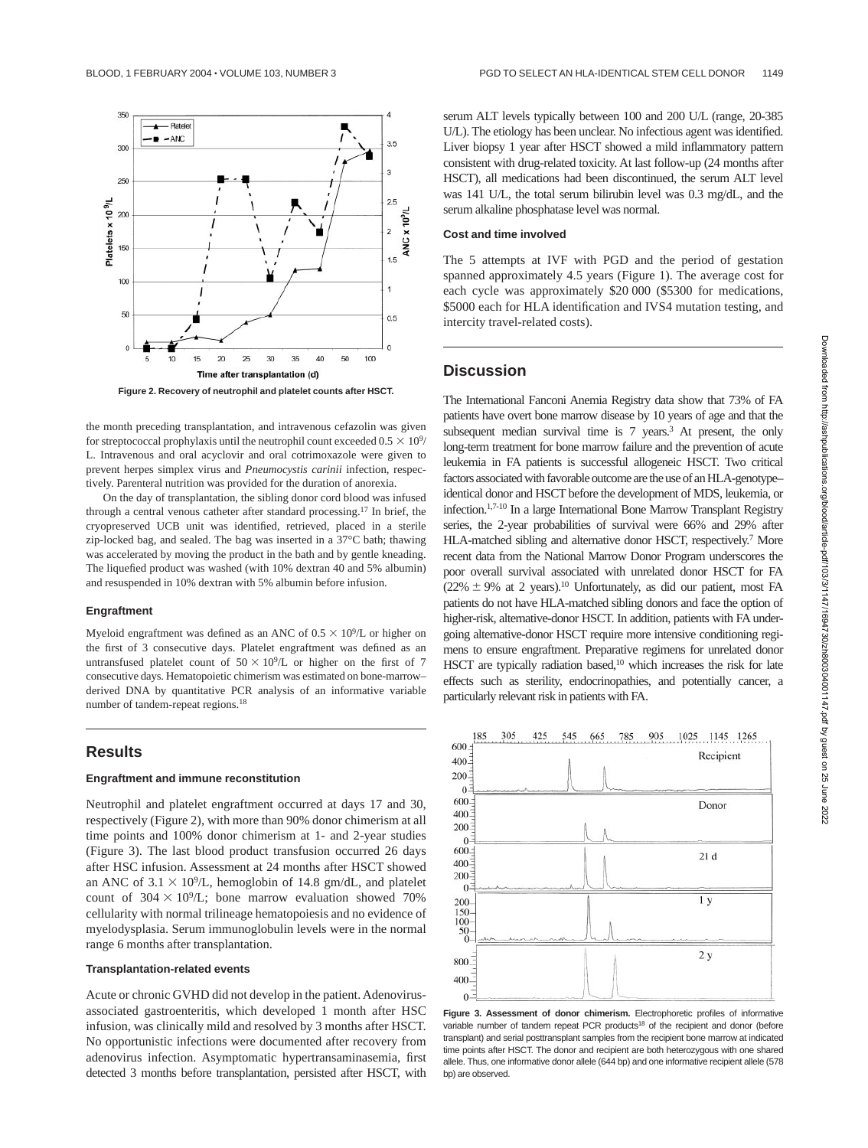

**Figure 2. Recovery of neutrophil and platelet counts after HSCT.**

the month preceding transplantation, and intravenous cefazolin was given for streptococcal prophylaxis until the neutrophil count exceeded  $0.5 \times 10^9/$ L. Intravenous and oral acyclovir and oral cotrimoxazole were given to prevent herpes simplex virus and *Pneumocystis carinii* infection, respectively. Parenteral nutrition was provided for the duration of anorexia.

On the day of transplantation, the sibling donor cord blood was infused through a central venous catheter after standard processing.17 In brief, the cryopreserved UCB unit was identified, retrieved, placed in a sterile zip-locked bag, and sealed. The bag was inserted in a 37°C bath; thawing was accelerated by moving the product in the bath and by gentle kneading. The liquefied product was washed (with 10% dextran 40 and 5% albumin) and resuspended in 10% dextran with 5% albumin before infusion.

### **Engraftment**

Myeloid engraftment was defined as an ANC of  $0.5 \times 10^9$ /L or higher on the first of 3 consecutive days. Platelet engraftment was defined as an untransfused platelet count of  $50 \times 10^9$ /L or higher on the first of 7 consecutive days. Hematopoietic chimerism was estimated on bone-marrow– derived DNA by quantitative PCR analysis of an informative variable number of tandem-repeat regions.18

# **Results**

#### **Engraftment and immune reconstitution**

Neutrophil and platelet engraftment occurred at days 17 and 30, respectively (Figure 2), with more than 90% donor chimerism at all time points and 100% donor chimerism at 1- and 2-year studies (Figure 3). The last blood product transfusion occurred 26 days after HSC infusion. Assessment at 24 months after HSCT showed an ANC of  $3.1 \times 10^9$ /L, hemoglobin of 14.8 gm/dL, and platelet count of  $304 \times 10^9$ /L; bone marrow evaluation showed 70% cellularity with normal trilineage hematopoiesis and no evidence of myelodysplasia. Serum immunoglobulin levels were in the normal range 6 months after transplantation.

### **Transplantation-related events**

Acute or chronic GVHD did not develop in the patient. Adenovirusassociated gastroenteritis, which developed 1 month after HSC infusion, was clinically mild and resolved by 3 months after HSCT. No opportunistic infections were documented after recovery from adenovirus infection. Asymptomatic hypertransaminasemia, first detected 3 months before transplantation, persisted after HSCT, with serum ALT levels typically between 100 and 200 U/L (range, 20-385 U/L). The etiology has been unclear. No infectious agent was identified. Liver biopsy 1 year after HSCT showed a mild inflammatory pattern consistent with drug-related toxicity. At last follow-up (24 months after HSCT), all medications had been discontinued, the serum ALT level was 141 U/L, the total serum bilirubin level was 0.3 mg/dL, and the serum alkaline phosphatase level was normal.

#### **Cost and time involved**

The 5 attempts at IVF with PGD and the period of gestation spanned approximately 4.5 years (Figure 1). The average cost for each cycle was approximately \$20 000 (\$5300 for medications, \$5000 each for HLA identification and IVS4 mutation testing, and intercity travel-related costs).

# **Discussion**

The International Fanconi Anemia Registry data show that 73% of FA patients have overt bone marrow disease by 10 years of age and that the subsequent median survival time is  $7$  years.<sup>3</sup> At present, the only long-term treatment for bone marrow failure and the prevention of acute leukemia in FA patients is successful allogeneic HSCT. Two critical factors associated with favorable outcome are the use of an HLA-genotype– identical donor and HSCT before the development of MDS, leukemia, or infection.1,7-10 In a large International Bone Marrow Transplant Registry series, the 2-year probabilities of survival were 66% and 29% after HLA-matched sibling and alternative donor HSCT, respectively.7 More recent data from the National Marrow Donor Program underscores the poor overall survival associated with unrelated donor HSCT for FA  $(22\% \pm 9\%$  at 2 years).<sup>10</sup> Unfortunately, as did our patient, most FA patients do not have HLA-matched sibling donors and face the option of higher-risk, alternative-donor HSCT. In addition, patients with FA undergoing alternative-donor HSCT require more intensive conditioning regimens to ensure engraftment. Preparative regimens for unrelated donor HSCT are typically radiation based,<sup>10</sup> which increases the risk for late effects such as sterility, endocrinopathies, and potentially cancer, a particularly relevant risk in patients with FA.





**Figure 3. Assessment of donor chimerism.** Electrophoretic profiles of informative variable number of tandem repeat PCR products<sup>18</sup> of the recipient and donor (before transplant) and serial posttransplant samples from the recipient bone marrow at indicated time points after HSCT. The donor and recipient are both heterozygous with one shared allele. Thus, one informative donor allele (644 bp) and one informative recipient allele (578 bp) are observed.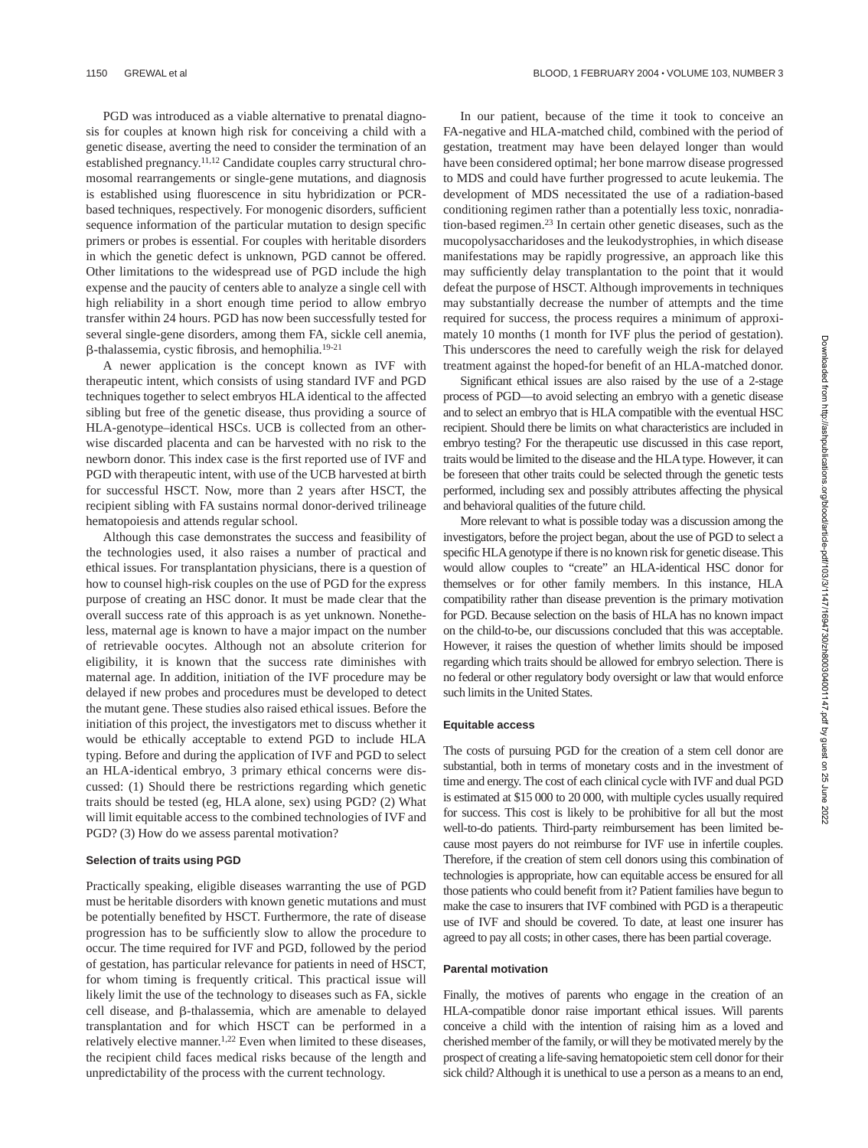PGD was introduced as a viable alternative to prenatal diagnosis for couples at known high risk for conceiving a child with a genetic disease, averting the need to consider the termination of an established pregnancy.11,12 Candidate couples carry structural chromosomal rearrangements or single-gene mutations, and diagnosis is established using fluorescence in situ hybridization or PCRbased techniques, respectively. For monogenic disorders, sufficient sequence information of the particular mutation to design specific primers or probes is essential. For couples with heritable disorders in which the genetic defect is unknown, PGD cannot be offered. Other limitations to the widespread use of PGD include the high expense and the paucity of centers able to analyze a single cell with high reliability in a short enough time period to allow embryo transfer within 24 hours. PGD has now been successfully tested for several single-gene disorders, among them FA, sickle cell anemia, -thalassemia, cystic fibrosis, and hemophilia.19-21

A newer application is the concept known as IVF with therapeutic intent, which consists of using standard IVF and PGD techniques together to select embryos HLA identical to the affected sibling but free of the genetic disease, thus providing a source of HLA-genotype–identical HSCs. UCB is collected from an otherwise discarded placenta and can be harvested with no risk to the newborn donor. This index case is the first reported use of IVF and PGD with therapeutic intent, with use of the UCB harvested at birth for successful HSCT. Now, more than 2 years after HSCT, the recipient sibling with FA sustains normal donor-derived trilineage hematopoiesis and attends regular school.

Although this case demonstrates the success and feasibility of the technologies used, it also raises a number of practical and ethical issues. For transplantation physicians, there is a question of how to counsel high-risk couples on the use of PGD for the express purpose of creating an HSC donor. It must be made clear that the overall success rate of this approach is as yet unknown. Nonetheless, maternal age is known to have a major impact on the number of retrievable oocytes. Although not an absolute criterion for eligibility, it is known that the success rate diminishes with maternal age. In addition, initiation of the IVF procedure may be delayed if new probes and procedures must be developed to detect the mutant gene. These studies also raised ethical issues. Before the initiation of this project, the investigators met to discuss whether it would be ethically acceptable to extend PGD to include HLA typing. Before and during the application of IVF and PGD to select an HLA-identical embryo, 3 primary ethical concerns were discussed: (1) Should there be restrictions regarding which genetic traits should be tested (eg, HLA alone, sex) using PGD? (2) What will limit equitable access to the combined technologies of IVF and PGD? (3) How do we assess parental motivation?

### **Selection of traits using PGD**

Practically speaking, eligible diseases warranting the use of PGD must be heritable disorders with known genetic mutations and must be potentially benefited by HSCT. Furthermore, the rate of disease progression has to be sufficiently slow to allow the procedure to occur. The time required for IVF and PGD, followed by the period of gestation, has particular relevance for patients in need of HSCT, for whom timing is frequently critical. This practical issue will likely limit the use of the technology to diseases such as FA, sickle cell disease, and  $\beta$ -thalassemia, which are amenable to delayed transplantation and for which HSCT can be performed in a relatively elective manner.1,22 Even when limited to these diseases, the recipient child faces medical risks because of the length and unpredictability of the process with the current technology.

In our patient, because of the time it took to conceive an FA-negative and HLA-matched child, combined with the period of gestation, treatment may have been delayed longer than would have been considered optimal; her bone marrow disease progressed to MDS and could have further progressed to acute leukemia. The development of MDS necessitated the use of a radiation-based conditioning regimen rather than a potentially less toxic, nonradiation-based regimen.23 In certain other genetic diseases, such as the mucopolysaccharidoses and the leukodystrophies, in which disease manifestations may be rapidly progressive, an approach like this may sufficiently delay transplantation to the point that it would defeat the purpose of HSCT. Although improvements in techniques may substantially decrease the number of attempts and the time required for success, the process requires a minimum of approximately 10 months (1 month for IVF plus the period of gestation). This underscores the need to carefully weigh the risk for delayed treatment against the hoped-for benefit of an HLA-matched donor.

Significant ethical issues are also raised by the use of a 2-stage process of PGD—to avoid selecting an embryo with a genetic disease and to select an embryo that is HLA compatible with the eventual HSC recipient. Should there be limits on what characteristics are included in embryo testing? For the therapeutic use discussed in this case report, traits would be limited to the disease and the HLA type. However, it can be foreseen that other traits could be selected through the genetic tests performed, including sex and possibly attributes affecting the physical and behavioral qualities of the future child.

More relevant to what is possible today was a discussion among the investigators, before the project began, about the use of PGD to select a specific HLA genotype if there is no known risk for genetic disease. This would allow couples to "create" an HLA-identical HSC donor for themselves or for other family members. In this instance, HLA compatibility rather than disease prevention is the primary motivation for PGD. Because selection on the basis of HLA has no known impact on the child-to-be, our discussions concluded that this was acceptable. However, it raises the question of whether limits should be imposed regarding which traits should be allowed for embryo selection. There is no federal or other regulatory body oversight or law that would enforce such limits in the United States.

### **Equitable access**

The costs of pursuing PGD for the creation of a stem cell donor are substantial, both in terms of monetary costs and in the investment of time and energy. The cost of each clinical cycle with IVF and dual PGD is estimated at \$15 000 to 20 000, with multiple cycles usually required for success. This cost is likely to be prohibitive for all but the most well-to-do patients. Third-party reimbursement has been limited because most payers do not reimburse for IVF use in infertile couples. Therefore, if the creation of stem cell donors using this combination of technologies is appropriate, how can equitable access be ensured for all those patients who could benefit from it? Patient families have begun to make the case to insurers that IVF combined with PGD is a therapeutic use of IVF and should be covered. To date, at least one insurer has agreed to pay all costs; in other cases, there has been partial coverage.

#### **Parental motivation**

Finally, the motives of parents who engage in the creation of an HLA-compatible donor raise important ethical issues. Will parents conceive a child with the intention of raising him as a loved and cherished member of the family, or will they be motivated merely by the prospect of creating a life-saving hematopoietic stem cell donor for their sick child? Although it is unethical to use a person as a means to an end,